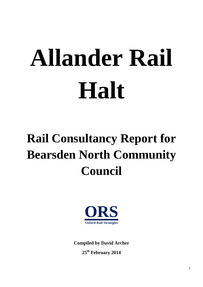# **Allander Rail Halt**

# **Rail Consultancy Report for Bearsden North Community Council**



**Compiled by David Archer 25 th February 2014**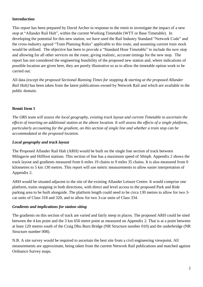# **Introduction**

This report has been prepared by David Archer in response to the remit to investigate the impact of a new stop at "Allander Rail Halt", within the current Working Timetable (WTT or Base Timetable). In developing the potential for this new station, we have used the Rail Industry Standard "Network Code" and the cross-industry agreed "Train Planning Rules" applicable to this route, and assuming current train stock would be utilised. The objective has been to provide a "Standard Hour Timetable" to include the new stop and allowing for all other services on the route, giving realistic, accurate timings for the new stop. The report has not considered the engineering feasibility of the proposed new station and, where indications of possible location are given here, they are purely illustrative so as to allow the timetable option work to be carried out.

All data *(except the proposed Sectional Running Times for stopping & starting at the proposed Allander Rail Halt)* has been taken from the latest publications owned by Network Rail and which are available in the public domain.

# **Remit Item 1**

*The ORS team will assess the local geography, existing track layout and current Timetable to ascertain the effects of inserting an additional station at the above location. It will assess the effects of a single platform, particularly accounting for the gradient, on this section of single line and whether a train stop can be accommodated at the proposed location.*

# *Local geography and track layout*

The Proposed Allander Rail Halt (ARH) would be built on the single line section of track between Milngavie and Hillfoot stations. This section of line has a maximum speed of 50mph. Appendix 2 shows the track layout and gradients measured from 6 miles 19 chains to 9 miles 35 chains. It is also measured from 0 kilometres to 5 km 130 metres. This report will use metric measurements to allow easier interpretation of Appendix 2.

ARH would be situated adjacent to the site of the existing Allander Leisure Centre. It would comprise one platform, trains stopping in both directions, with direct and level access to the proposed Park and Ride parking area to be built alongside. The platform length could need to be circa 130 metres to allow for two 3 car units of Class 318 and 320, and to allow for two 3-car units of Class 334.

# *Gradients and implications for station siting*

The gradients on this section of track are varied and fairly steep in places. The proposed ARH could be sited between the 4 km point and the 3 km 650 metre point as measured on Appendix 2. That is at a point between at least 120 metres south of the Craig Dhu Burn Bridge (NR Structure number 010) and the underbridge (NR Structure number 008).

N.B. A site survey would be required to ascertain the best site from a civil engineering viewpoint. All measurements are approximate, being taken from the current Network Rail publications and matched against Ordnance Survey maps.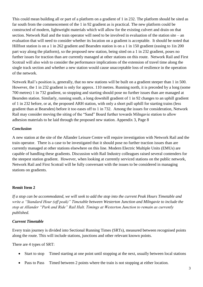This could mean building all or part of a platform on a gradient of 1 in 232. The platform should be sited as far south from the commencement of the 1 in 92 gradient as is practical. The new platform could be constructed of modern, lightweight materials which will allow for the existing culvert and drain on that section. Network Rail and the train operator will need to be involved in evaluation of the station site – an evaluation that will need to consider whether its location on a gradient is acceptable. It should be noted that Hillfoot station is on a 1 in 262 gradient and Bearsden station is on a 1 in 150 gradient (easing to 1in 200 part way along the platform), so the proposed new station, being sited on a 1 in 232 gradient, poses no further issues for traction than are currently managed at other stations on this route. Network Rail and First Scotrail will also wish to consider the performance implications of the extension of travel time along the single track section and whether a new station would cause unacceptable loss of resilience in the operation of the network.

Network Rail's position is, generally, that no new stations will be built on a gradient steeper than 1 in 500. However, the 1 in 232 gradient is only for approx. 110 metres. Running north, it is preceded by a long (some 700 metres) 1 in 732 gradient, so stopping and starting should pose no further issues than are managed at Bearsden station. Similarly, running south, a long downhill gradient of 1 in 92 changes to an uphill gradient of 1 in 232 before, or at, the proposed ARH station, with only a short pull uphill for starting trains (less gradient than at Bearsden) before it too eases off to 1 in 732. Among the issues for consideration, Network Rail may consider moving the siting of the "Sand" Board further towards Milngavie station to allow adhesion materials to be laid through the proposed new station. Appendix 3, Page 8

# *Conclusion*

A new station at the site of the Allander Leisure Centre will require investigation with Network Rail and the train operator. There is a case to be investigated that it should pose no further traction issues than are currently managed at other stations elsewhere on this line. Modern Electric Multiple Units (EMUs) are capable of handling these gradients. Discussion with Rail Industry colleagues raised several contenders for the steepest station gradient. However, when looking at currently serviced stations on the public network, Network Rail and First Scotrail will be fully conversant with the issues to be considered in managing stations on gradients.

# **Remit Item 2**

*If a stop can be accommodated, we will seek to add the stop into the current Peak Hours Timetable and write a "Standard Hour (off peak)" Timetable between Westerton Junction and Milngavie to include the stop at Allander "Park and Ride" Rail Halt. Timings at Westerton Junction to remain as currently published.*

### *Current Timetable*

Every train journey is divided into Sectional Running Times (SRTs), measured between recognised points along the route. This will include stations, junctions and other relevant known points.

There are 4 types of SRT:

- Start to stop Timed starting at one point until stopping at the next, usually between local stations
- Pass to Pass Timed between 2 points where the train is not stopping at either location.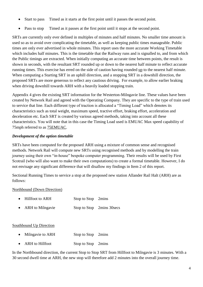- Start to pass Timed as it starts at the first point until it passes the second point.
- Pass to stop Timed as it passes at the first point until it stops at the second point.

SRTs are currently only ever defined in multiples of minutes and half minutes. No smaller time amount is used so as to avoid over complicating the timetable, as well as keeping public times manageable. Public times are only ever advertised in whole minutes. This report uses the more accurate Working Timetable which includes half minutes. This is the timetable that the Railway runs and is signalled to, and from which the Public timings are extracted. When initially computing an accurate time between points, the result is shown in seconds, with the resultant SRT rounded up or down to the nearest half minute to reflect accurate running times. This exercise has erred on the side of caution having rounded up to the nearest half minute. When computing a Starting SRT in an uphill direction, and a stopping SRT in a downhill direction, the proposed SRTs are more generous to reflect any cautious driving. For example, to allow earlier braking when driving downhill towards ARH with a heavily loaded stopping train.

Appendix 4 gives the existing SRT information for the Westerton-Milngavie line. These values have been created by Network Rail and agreed with the Operating Company. They are specific to the type of train used to service that line. Each different type of traction is allocated a "Timing Load" which denotes its characteristics such as total weight, maximum speed, tractive effort, braking effort, acceleration and deceleration etc. Each SRT is created by various agreed methods, taking into account all these characteristics. You will note that in this case the Timing Load used is EMUAC Max speed capability of 75mph referred to as 75EMUAC.

# *Development of the option timetable*

SRTs have been computed for the proposed ARH using a mixture of common sense and recognised methods. Network Rail will compute new SRTs using recognised methods and by modelling the train journey using their own "in-house" bespoke computer programming. Their results will be used by First Scotrail (who will also want to make their own computations) to create a formal timetable. However, I do not envisage any significant difference that will disallow my findings in Item 2 of this report.

Sectional Running Times to service a stop at the proposed new station Allander Rail Halt (ARH) are as follows:

# Northbound (Down Direction)

- Hillfoot to ARH Stop to Stop 2mins
- ARH to Milngavie Stop to Stop 2mins 30 secs

# Southbound Up Direction

- Milngavie to ARH Stop to Stop 2mins
- ARH to Hillfoot Stop to Stop 2mins

In the Northbound direction, the current Stop to Stop SRT from Hillfoot to Milngavie is 3 minutes. With a 30 second dwell time at ARH, the new stop will therefore add 2 minutes into the overall journey time.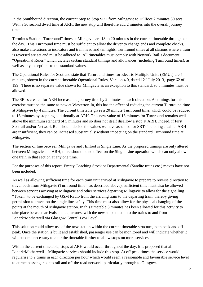In the Southbound direction, the current Stop to Stop SRT from Milngavie to Hillfoot 2 minutes 30 secs. With a 30 second dwell time at ARH, the new stop will therefore add 2 minutes into the overall journey time.

Terminus Station "Turnround" times at Milngavie are 18 to 20 minutes in the current timetable throughout the day. This Turnround time must be sufficient to allow the driver to change ends and complete checks, also make alterations to indicators and train head and tail lights. Turnround times at all stations where a train is reversed are set and must be adhered to. All timetables must comply with Network Rail's document "Operational Rules" which dictates certain standard timings and allowances (including Turnround times), as well as any exceptions to the standard values.

The Operational Rules for Scotland state that Turnround times for Electric Multiple Units (EMUs) are 5 minutes, shown in the current timetable Operational Rules, Version 4.0, dated  $12<sup>th</sup>$  July 2013, page 62 of 199 . There is no separate value shown for Milngavie as an exception to this standard, so 5 minutes must be allowed.

The SRTs created for ARH increase the journey time by 2 minutes in each direction. As timings for this exercise must be the same as now at Westerton Jn, this has the effect of reducing the current Turnround time at Milngavie by 4 minutes. The current timetable gives a 20 minute Turnround time, which could be reduced to 16 minutes by stopping additionally at ARH. This new value of 16 minutes for Turnround remains well above the minimum standard of 5 minutes and so does not itself disallow a stop at ARH. Indeed, if First Scotrail and/or Network Rail should decide the values we have assumed for SRTs including a call at ARH are insufficient, they can be increased substantially without impacting on the standard Turnround time at Milngavie.

The section of line between Milngavie and Hillfoot is Single Line. As the proposed timings are only altered between Milngavie and ARH, there should be no effect on the Single Line operation which can only allow one train in that section at any one time.

For the purposes of this report, Empty Coaching Stock or Departmental (Sandite trains etc.) moves have not been included.

As well as allowing sufficient time for each train unit arrived at Milngavie to prepare to reverse direction to travel back from Milngavie (Turnround time – as described above), sufficient time must also be allowed between services arriving at Milngavie and other services departing Milngavie to allow for the signalling "Token" to be exchanged by GSM Radio from the arriving train to the departing train, thereby giving permission to travel on the single line safely. This time must also allow for the physical changing of the points at the mouth of Milngavie station. In this timetable 3 minutes has been allowed for this activity to take place between arrivals and departures, with the new stop added into the trains to and from Lanark/Motherwell via Glasgow Central Low Level.

This solution could allow use of the new station within the current timetable structure, both peak and offpeak. Once the station is built and established, passenger use can be monitored and will indicate whether it will become necessary to alter the timetable further to allow stops on more services.

Within the current timetable, stops at ARH would occur throughout the day. It is proposed that all Lanark/Motherwell – Milngavie services should include this stop. At off peak times the service would regularise to 2 trains in each direction per hour which would seem a reasonable and favourable service level to attract passengers onto rail and off the road network, particularly through to Glasgow.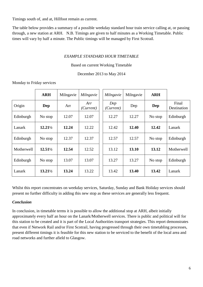Timings south of, and at, Hillfoot remain as current.

The table below provides a summary of a possible weekday standard hour train service calling at, or passing through, a new station at ARH. N.B. Timings are given to half minutes as a Working Timetable. Public times will vary by half a minute. The Public timings will be managed by First Scotrail.

# *EXAMPLE STANDARD HOUR TIMETABLE*

### Based on current Working Timetable

# December 2013 to May 2014

### Monday to Friday services

|            | <b>ARH</b>         | Milngavie | Milngavie        | Milngavie        | Milngavie | <b>ARH</b> |                      |
|------------|--------------------|-----------|------------------|------------------|-----------|------------|----------------------|
| Origin     | Dep                | Arr       | Arr<br>(Current) | Dep<br>(Current) | Dep       | Dep        | Final<br>Destination |
| Edinburgh  | No stop            | 12.07     | 12.07            | 12.27            | 12.27     | No stop    | Edinburgh            |
| Lanark     | $12.21\frac{1}{2}$ | 12.24     | 12.22            | 12.42            | 12.40     | 12.42      | Lanark               |
| Edinburgh  | No stop            | 12.37     | 12.37            | 12.57            | 12.57     | No stop    | Edinburgh            |
| Motherwell | $12.51\frac{1}{2}$ | 12.54     | 12.52            | 13.12            | 13.10     | 13.12      | Motherwell           |
| Edinburgh  | No stop            | 13.07     | 13.07            | 13.27            | 13.27     | No stop    | Edinburgh            |
| Lanark     | $13.21\frac{1}{2}$ | 13.24     | 13.22            | 13.42            | 13.40     | 13.42      | Lanark               |

Whilst this report concentrates on weekday services, Saturday, Sunday and Bank Holiday services should present no further difficulty in adding this new stop as these services are generally less frequent.

### *Conclusion*

In conclusion, in timetable terms it is possible to allow the additional stop at ARH, albeit initially approximately every half an hour on the Lanark/Motherwell services. There is public and political will for this station to be created and it is part of the Local Authorities transport strategies. This report demonstrates that even if Network Rail and/or First Scotrail, having progressed through their own timetabling processes, present different timings it is feasible for this new station to be serviced to the benefit of the local area and road networks and further afield to Glasgow.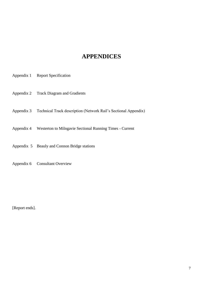# **APPENDICES**

- Appendix 1 Report Specification
- Appendix 2 Track Diagram and Gradients
- Appendix 3 Technical Track description (Network Rail's Sectional Appendix)
- Appendix 4 Westerton to Milngavie Sectional Running Times Current
- Appendix 5 Beauly and Connon Bridge stations
- Appendix 6 Consultant Overview

[Report ends].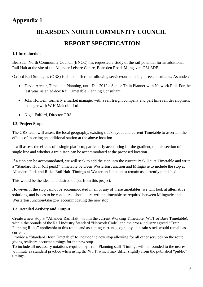# **Appendix 1**

# **BEARSDEN NORTH COMMUNITY COUNCIL REPORT SPECIFICATION**

# **1.1 Introduction**

Bearsden North Community Council (BNCC) has requested a study of the rail potential for an additional Rail Halt at the site of the Allander Leisure Centre, Bearsden Road, Milngavie, G61 3DF.

Oxford Rail Strategies (ORS) is able to offer the following service/output using three consultants. As under:

- David Archer, Timetable Planning, until Dec 2012 a Senior Train Planner with Network Rail. For the last year, as an ad-hoc Rail Timetable Planning Consultant.
- John Holwell, formerly a market manager with a rail freight company and part time rail development manager with W H Malcolm Ltd.
- Nigel Fulford, Director ORS.

# **1.2. Project Scope**

The ORS team will assess the local geography, existing track layout and current Timetable to ascertain the effects of inserting an additional station at the above location.

It will assess the effects of a single platform, particularly accounting for the gradient, on this section of single line and whether a train stop can be accommodated at the proposed location.

If a stop can be accommodated, we will seek to add the stop into the current Peak Hours Timetable and write a "Standard Hour (off peak)" Timetable between Westerton Junction and Milngavie to include the stop at Allander "Park and Ride" Rail Halt. Timings at Westerton Junction to remain as currently published.

This would be the ideal and desired output from this project.

However, if the stop cannot be accommodated in all or any of these timetables, we will look at alternative solutions, and issues to be considered should a re-written timetable be required between Milngavie and Westerton Junction/Glasgow accommodating the new stop.

# **1.3. Detailed Activity and Output**

Create a new stop at "Allander Rail Halt" within the current Working Timetable (WTT or Base Timetable), within the bounds of the Rail Industry Standard "Network Code" and the cross-industry agreed "Train Planning Rules" applicable to this route, and assuming current geography and train stock would remain as current.

Provide a "Standard Hour Timetable" to include the new stop allowing for all other services on the route, giving realistic, accurate timings for the new stop.

To include all necessary notations required by Train Planning staff. Timings will be rounded to the nearest  $\frac{1}{2}$  minute as standard practice when using the WTT, which may differ slightly from the published "public" timings.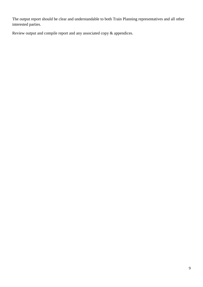The output report should be clear and understandable to both Train Planning representatives and all other interested parties.

Review output and compile report and any associated copy & appendices.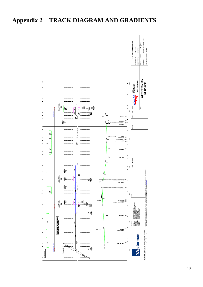# **Appendix 2 TRACK DIAGRAM AND GRADIENTS**

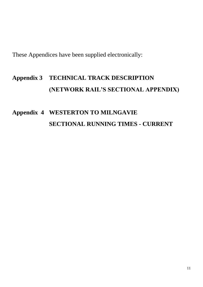These Appendices have been supplied electronically:

# **Appendix 3 TECHNICAL TRACK DESCRIPTION (NETWORK RAIL'S SECTIONAL APPENDIX)**

# **Appendix 4 WESTERTON TO MILNGAVIE SECTIONAL RUNNING TIMES - CURRENT**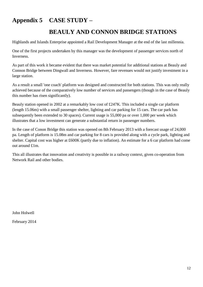# **Appendix 5 CASE STUDY –**

# **BEAULY AND CONNON BRIDGE STATIONS**

Highlands and Islands Enterprise appointed a Rail Development Manager at the end of the last millennia.

One of the first projects undertaken by this manager was the development of passenger services north of Inverness.

As part of this work it became evident that there was market potential for additional stations at Beauly and Connon Bridge between Dingwall and Inverness. However, fare revenues would not justify investment in a large station.

As a result a small 'one coach' platform was designed and constructed for both stations. This was only really achieved because of the comparatively low number of services and passengers (though in the case of Beauly this number has risen significantly).

Beauly station opened in 2002 at a remarkably low cost of £247K. This included a single car platform (length 15.06m) with a small passenger shelter, lighting and car parking for 15 cars. The car park has subsequently been extended to 30 spaces). Current usage is 55,000 pa or over 1,000 per week which illustrates that a low investment can generate a substantial return in passenger numbers.

In the case of Conon Bridge this station was opened on 8th February 2013 with a forecast usage of 24,000 pa. Length of platform is 15.08m and car parking for 8 cars is provided along with a cycle park, lighting and shelter. Capital cost was higher at £600K (partly due to inflation). An estimate for a 6 car platform had come out around £1m.

This all illustrates that innovation and creativity is possible in a railway context, given co-operation from Network Rail and other bodies.

John Holwell

February 2014